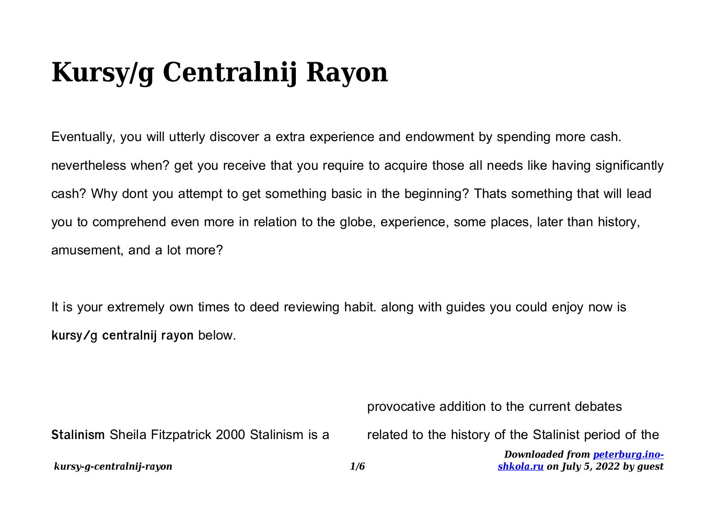## **Kursy/g Centralnij Rayon**

Eventually, you will utterly discover a extra experience and endowment by spending more cash. nevertheless when? get you receive that you require to acquire those all needs like having significantly cash? Why dont you attempt to get something basic in the beginning? Thats something that will lead you to comprehend even more in relation to the globe, experience, some places, later than history, amusement, and a lot more?

It is your extremely own times to deed reviewing habit. along with guides you could enjoy now is **kursy/g centralnij rayon** below.

provocative addition to the current debates

**Stalinism** Sheila Fitzpatrick 2000 Stalinism is a

related to the history of the Stalinist period of the

*Downloaded from [peterburg.ino](http://peterburg.ino-shkola.ru)[shkola.ru](http://peterburg.ino-shkola.ru) on July 5, 2022 by guest*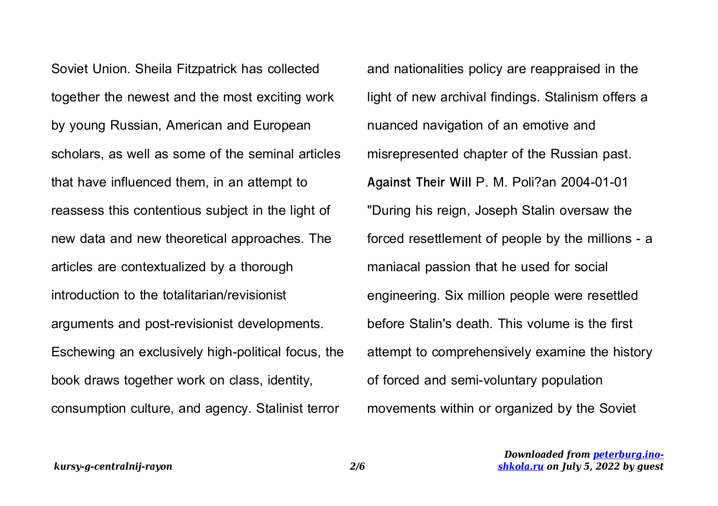Soviet Union. Sheila Fitzpatrick has collected together the newest and the most exciting work by young Russian, American and European scholars, as well as some of the seminal articles that have influenced them, in an attempt to reassess this contentious subject in the light of new data and new theoretical approaches. The articles are contextualized by a thorough introduction to the totalitarian/revisionist arguments and post-revisionist developments. Eschewing an exclusively high-political focus, the book draws together work on class, identity, consumption culture, and agency. Stalinist terror

and nationalities policy are reappraised in the light of new archival findings. Stalinism offers a nuanced navigation of an emotive and misrepresented chapter of the Russian past. **Against Their Will** P. M. Poli?an 2004-01-01 "During his reign, Joseph Stalin oversaw the forced resettlement of people by the millions - a maniacal passion that he used for social engineering. Six million people were resettled before Stalin's death. This volume is the first attempt to comprehensively examine the history of forced and semi-voluntary population movements within or organized by the Soviet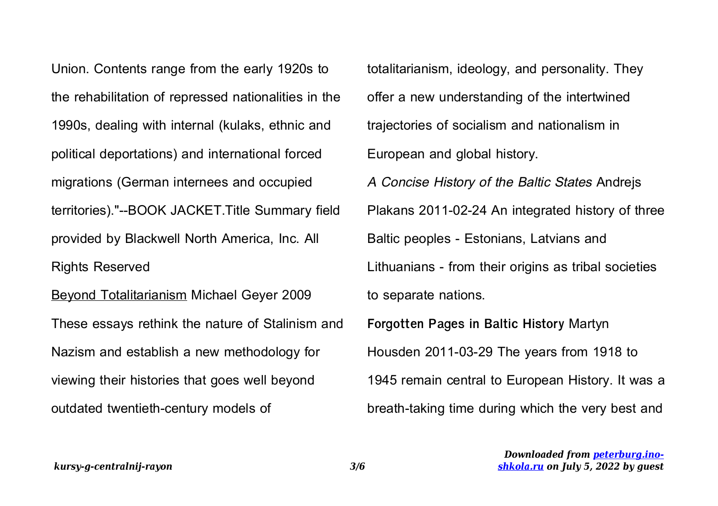Union. Contents range from the early 1920s to the rehabilitation of repressed nationalities in the 1990s, dealing with internal (kulaks, ethnic and political deportations) and international forced migrations (German internees and occupied territories)."--BOOK JACKET.Title Summary field provided by Blackwell North America, Inc. All Rights Reserved Beyond Totalitarianism Michael Geyer 2009

These essays rethink the nature of Stalinism and Nazism and establish a new methodology for viewing their histories that goes well beyond outdated twentieth-century models of

totalitarianism, ideology, and personality. They offer a new understanding of the intertwined trajectories of socialism and nationalism in European and global history. A Concise History of the Baltic States Andrejs Plakans 2011-02-24 An integrated history of three Baltic peoples - Estonians, Latvians and Lithuanians - from their origins as tribal societies to separate nations. **Forgotten Pages in Baltic History** Martyn Housden 2011-03-29 The years from 1918 to 1945 remain central to European History. It was a

breath-taking time during which the very best and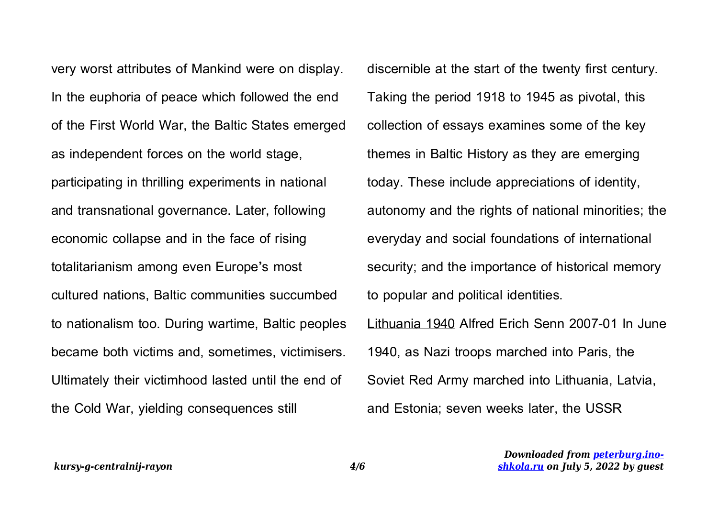very worst attributes of Mankind were on display. In the euphoria of peace which followed the end of the First World War, the Baltic States emerged as independent forces on the world stage, participating in thrilling experiments in national and transnational governance. Later, following economic collapse and in the face of rising totalitarianism among even Europe's most cultured nations, Baltic communities succumbed to nationalism too. During wartime, Baltic peoples became both victims and, sometimes, victimisers. Ultimately their victimhood lasted until the end of the Cold War, yielding consequences still

discernible at the start of the twenty first century. Taking the period 1918 to 1945 as pivotal, this collection of essays examines some of the key themes in Baltic History as they are emerging today. These include appreciations of identity, autonomy and the rights of national minorities; the everyday and social foundations of international security; and the importance of historical memory to popular and political identities. Lithuania 1940 Alfred Erich Senn 2007-01 In June 1940, as Nazi troops marched into Paris, the Soviet Red Army marched into Lithuania, Latvia,

and Estonia; seven weeks later, the USSR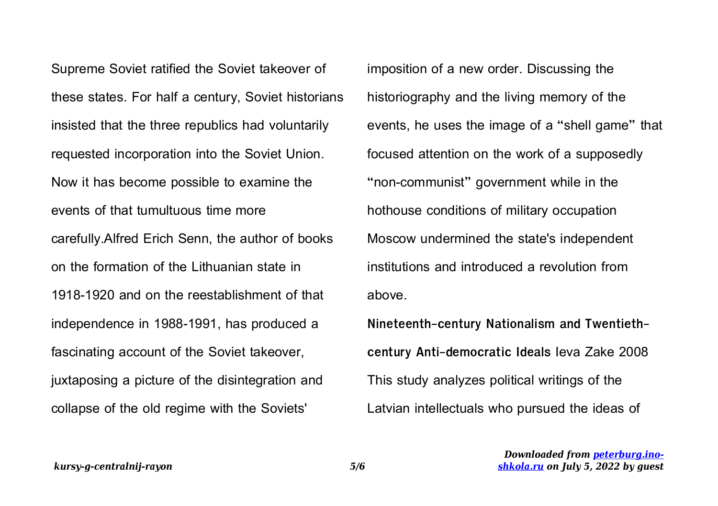Supreme Soviet ratified the Soviet takeover of these states. For half a century, Soviet historians insisted that the three republics had voluntarily requested incorporation into the Soviet Union. Now it has become possible to examine the events of that tumultuous time more carefully.Alfred Erich Senn, the author of books on the formation of the Lithuanian state in 1918-1920 and on the reestablishment of that independence in 1988-1991, has produced a fascinating account of the Soviet takeover, juxtaposing a picture of the disintegration and collapse of the old regime with the Soviets'

imposition of a new order. Discussing the historiography and the living memory of the events, he uses the image of a "shell game" that focused attention on the work of a supposedly "non-communist" government while in the hothouse conditions of military occupation Moscow undermined the state's independent institutions and introduced a revolution from above.

**Nineteenth-century Nationalism and Twentiethcentury Anti-democratic Ideals** Ieva Zake 2008 This study analyzes political writings of the Latvian intellectuals who pursued the ideas of